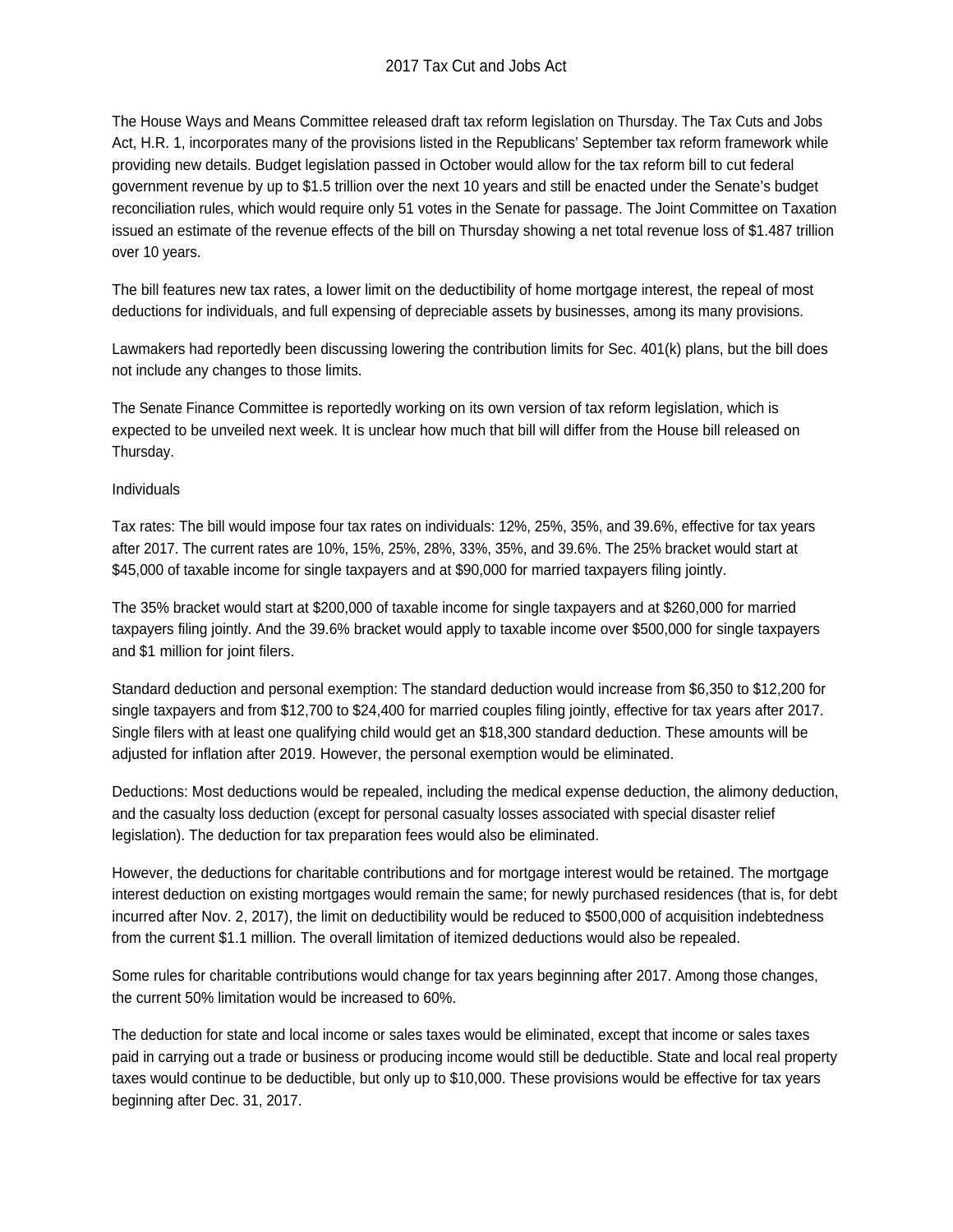## 2017 Tax Cut and Jobs Act

The House Ways and Means Committee released draft tax reform legislation on Thursday. The Tax Cuts and Jobs Act, H.R. 1, incorporates many of the provisions listed in the Republicans' September tax reform framework while providing new details. Budget legislation passed in October would allow for the tax reform bill to cut federal government revenue by up to \$1.5 trillion over the next 10 years and still be enacted under the Senate's budget reconciliation rules, which would require only 51 votes in the Senate for passage. The Joint Committee on Taxation issued an estimate of the revenue effects of the bill on Thursday showing a net total revenue loss of \$1.487 trillion over 10 years.

The bill features new tax rates, a lower limit on the deductibility of home mortgage interest, the repeal of most deductions for individuals, and full expensing of depreciable assets by businesses, among its many provisions.

Lawmakers had reportedly been discussing lowering the contribution limits for Sec. 401(k) plans, but the bill does not include any changes to those limits.

The Senate Finance Committee is reportedly working on its own version of tax reform legislation, which is expected to be unveiled next week. It is unclear how much that bill will differ from the House bill released on Thursday.

## Individuals

Tax rates: The bill would impose four tax rates on individuals: 12%, 25%, 35%, and 39.6%, effective for tax years after 2017. The current rates are 10%, 15%, 25%, 28%, 33%, 35%, and 39.6%. The 25% bracket would start at \$45,000 of taxable income for single taxpayers and at \$90,000 for married taxpayers filing jointly.

The 35% bracket would start at \$200,000 of taxable income for single taxpayers and at \$260,000 for married taxpayers filing jointly. And the 39.6% bracket would apply to taxable income over \$500,000 for single taxpayers and \$1 million for joint filers.

Standard deduction and personal exemption: The standard deduction would increase from \$6,350 to \$12,200 for single taxpayers and from \$12,700 to \$24,400 for married couples filing jointly, effective for tax years after 2017. Single filers with at least one qualifying child would get an \$18,300 standard deduction. These amounts will be adjusted for inflation after 2019. However, the personal exemption would be eliminated.

Deductions: Most deductions would be repealed, including the medical expense deduction, the alimony deduction, and the casualty loss deduction (except for personal casualty losses associated with special disaster relief legislation). The deduction for tax preparation fees would also be eliminated.

However, the deductions for charitable contributions and for mortgage interest would be retained. The mortgage interest deduction on existing mortgages would remain the same; for newly purchased residences (that is, for debt incurred after Nov. 2, 2017), the limit on deductibility would be reduced to \$500,000 of acquisition indebtedness from the current \$1.1 million. The overall limitation of itemized deductions would also be repealed.

Some rules for charitable contributions would change for tax years beginning after 2017. Among those changes, the current 50% limitation would be increased to 60%.

The deduction for state and local income or sales taxes would be eliminated, except that income or sales taxes paid in carrying out a trade or business or producing income would still be deductible. State and local real property taxes would continue to be deductible, but only up to \$10,000. These provisions would be effective for tax years beginning after Dec. 31, 2017.